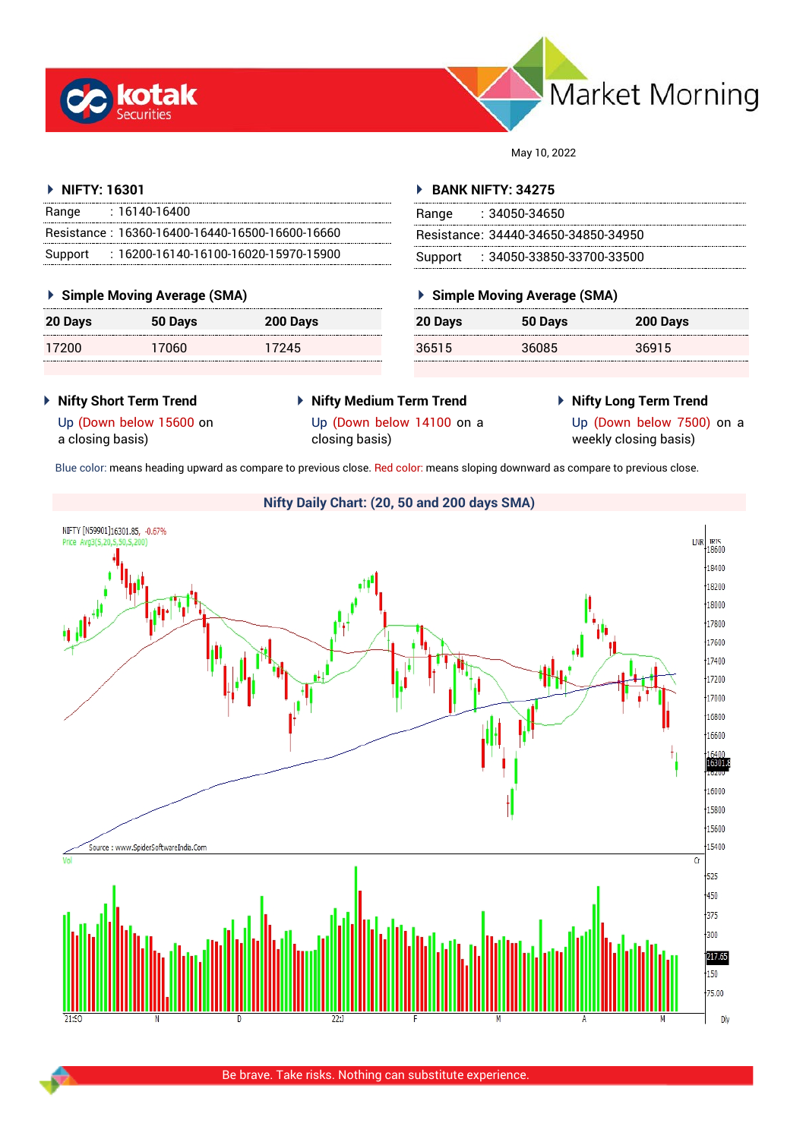



May 10, 2022

#### **NIFTY: 16301**

| Range   | $: 16140 - 16400$                                 |
|---------|---------------------------------------------------|
|         | Resistance: 16360-16400-16440-16500-16600-16660   |
| Support | $: 16200 - 16140 - 16100 - 16020 - 15970 - 15900$ |

#### **Simple Moving Average (SMA)**

| 20 Days | 50 Days | 200 Days |
|---------|---------|----------|
| 17200   | 17060   | 17245    |

#### **BANK NIFTY: 34275**

| Range | : 34050-34650                       |
|-------|-------------------------------------|
|       | Resistance: 34440-34650-34850-34950 |
|       | Support : 34050-33850-33700-33500   |

### **Simple Moving Average (SMA)**

| 20 Days | 50 Days | 200 Days |
|---------|---------|----------|
| 36515   | 36085   | 36915    |

- **Nifty Short Term Trend**
- **Nifty Medium Term Trend** Up (Down below 14100 on a
- **Nifty Long Term Trend**

Up (Down below 15600 on a closing basis)

- closing basis)
- 

Up (Down below 7500) on a weekly closing basis)

Blue color: means heading upward as compare to previous close. Red color: means sloping downward as compare to previous close.

## **Nifty Daily Chart: (20, 50 and 200 days SMA)**NIFTY [N59901]16301.85, -0.67%  $LNR$ <sub>18600</sub> Drina Avg 3(S. 20 18400 18200 18000 17800 17600 17400 17200 17000 16800 16600 6400 16301. 16000 15800 15600 .<br>Source : www.SpiderSoftwareIndia.Com 15400  $\overline{C}$  $-525$  $450$ 375  $300 -$ 217.65  $150$ 75.00 D<sub>N</sub>

# Be brave. Take risks. Nothing can substitute experience.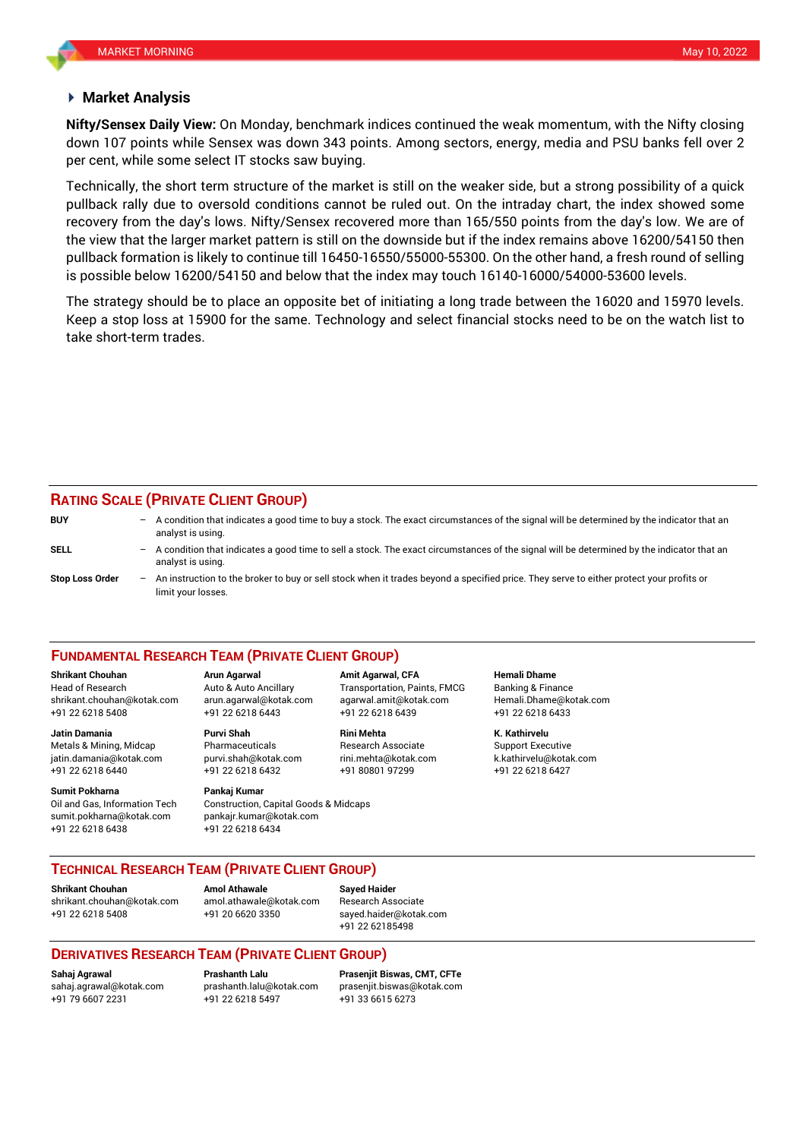#### **Market Analysis**

down 107 points while Sensex was down 343 points. Among sectors, energy, media and PSU banks fell over 2 **Nifty/Sensex Daily View:** On Monday, benchmark indices continued the weak momentum, with the Nifty closing per cent, while some select IT stocks saw buying.

Technically, the short term structure of the market is still on the weaker side, but a strong possibility of a quick pullback rally due to oversold conditions cannot be ruled out. On the intraday chart, the index showed some recovery from the day's lows. Nifty/Sensex recovered more than 165/550 points from the day's low. We are of the view that the larger market pattern is still on the downside but if the index remains above 16200/54150 then pullback formation is likely to continue till 16450-16550/55000-55300. On the other hand, a fresh round of selling is possible below 16200/54150 and below that the index may touch 16140-16000/54000-53600 levels.

The strategy should be to place an opposite bet of initiating a long trade between the 16020 and 15970 levels. Keep a stop loss at 15900 for the same. Technology and select financial stocks need to be on the watch list to take short-term trades.

### **RATING SCALE (PRIVATE CLIENT GROUP)**

**BUY** – A condition that indicates a good time to buy a stock. The exact circumstances of the signal will be determined by the indicator that an analyst is using. **SELL** – A condition that indicates a good time to sell a stock. The exact circumstances of the signal will be determined by the indicator that an analyst is using. **Stop Loss Order** – An instruction to the broker to buy or sell stock when it trades beyond a specified price. They serve to either protect your profits or limit your losses.

#### **FUNDAMENTAL RESEARCH TEAM (PRIVATE CLIENT GROUP)**

Head of Research Auto & Auto Ancillary Transportation, Paints, FMCG Banking & Finance [shrikant.chouhan@kotak.com](mailto:shrikant.chouhan@kotak.com) arun.agarwal@kotak.com agarwal.amit@kotak.com Hemali.Dhame@kotak.com

**Jatin Damania Purvi Shah Rini Mehta K. Kathirvelu** Metals & Mining, Midcap **Research Associate** Research Associate Support Executive jatin.damania@kotak.com [purvi.shah@kotak.com](mailto:purvi.shah@kotak.com) rini.mehta@kotak.com [k.kathirvelu@kotak.com](mailto:k.kathirvelu@kotak.com) +91 22 6218 6440 +91 22 6218 6432 +91 80801 97299 +91 22 6218 6427

**Sumit Pokharna Pankaj Kumar** 

Oil and Gas, Information Tech Construction, Capital Goods & Midcaps sumit.pokharna@kotak.com pankajr.kumar@kotak.com +91 22 6218 6438 +91 22 6218 6434

**Shrikant Chouhan Arun Agarwal Amit Agarwal, CFA Hemali Dhame** +91 22 6218 5408 +91 22 6218 6443 +91 22 6218 6439 +91 22 6218 6433

#### **TECHNICAL RESEARCH TEAM (PRIVATE CLIENT GROUP)**

**Shrikant Chouhan Amol Athawale Sayed Haider**

[shrikant.chouhan@kotak.com](mailto:shrikant.chouhan@kotak.com) [amol.athawale@kotak.com](mailto:amol.athawale@kotak.com) Research Associate +91 22 6218 5408 +91 20 6620 3350 [sayed.haider@kotak.com](mailto:sayed.haider@kotak.com)

+91 22 62185498

#### **DERIVATIVES RESEARCH TEAM (PRIVATE CLIENT GROUP)**

+91 22 6218 5497 +91 33 6615 6273

**Sahaj Agrawal Prashanth Lalu Prasenjit Biswas, CMT, CFTe** [sahaj.agrawal@kotak.com](mailto:sahaj.agrawal@kotak.com) [prashanth.lalu@kotak.com](mailto:prashanth.lalu@kotak.com) [prasenjit.biswas@kotak.com](mailto:prasenjit.biswas@kotak.com)